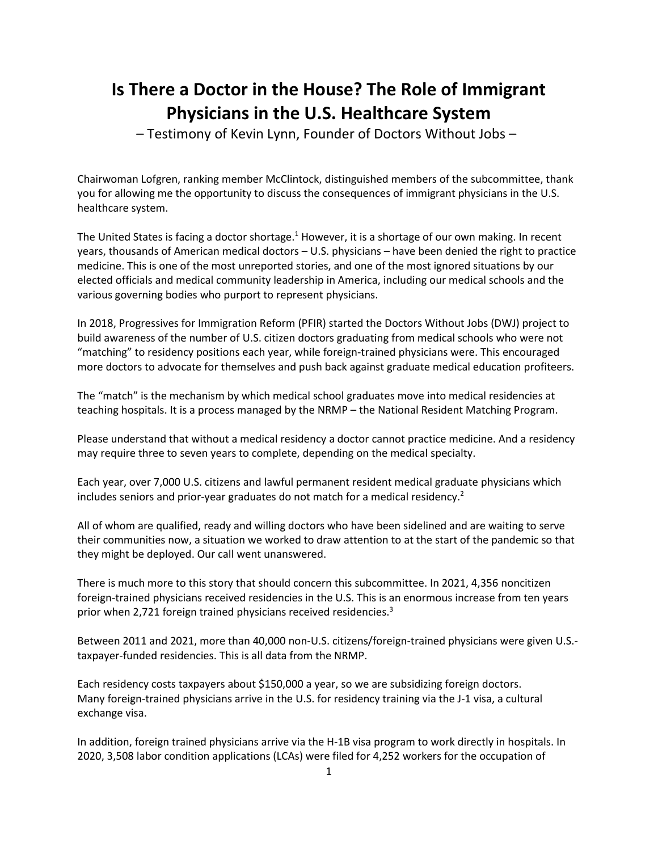# **[Is There a Doctor in the House? The Role of Immigrant](https://judiciary.house.gov/calendar/EventSingle.aspx?EventID=4849)  [Physicians in the U.S. Healthcare System](https://judiciary.house.gov/calendar/EventSingle.aspx?EventID=4849)**

– Testimony of Kevin Lynn, Founder of Doctors Without Jobs –

Chairwoman Lofgren, ranking member McClintock, distinguished members of the subcommittee, thank you for allowing me the opportunity to discuss the consequences of immigrant physicians in the U.S. healthcare system.

The United States is facing a doctor shortage.<sup>1</sup> However, it is a shortage of our own making. In recent years, thousands of American medical doctors – U.S. physicians – have been denied the right to practice medicine. This is one of the most unreported stories, and one of the most ignored situations by our elected officials and medical community leadership in America, including our medical schools and the various governing bodies who purport to represent physicians.

In 2018, Progressives for Immigration Reform (PFIR) started the Doctors Without Jobs (DWJ) project to build awareness of the number of U.S. citizen doctors graduating from medical schools who were not "matching" to residency positions each year, while foreign-trained physicians were. This encouraged more doctors to advocate for themselves and push back against graduate medical education profiteers.

The "match" is the mechanism by which medical school graduates move into medical residencies at teaching hospitals. It is a process managed by the NRMP – the National Resident Matching Program.

Please understand that without a medical residency a doctor cannot practice medicine. And a residency may require three to seven years to complete, depending on the medical specialty.

Each year, over 7,000 U.S. citizens and lawful permanent resident medical graduate physicians which includes seniors and prior-year graduates do not match for a medical residency.<sup>2</sup>

All of whom are qualified, ready and willing doctors who have been sidelined and are waiting to serve their communities now, a situation we worked to draw attention to at the start of the pandemic so that they might be deployed. Our call went unanswered.

There is much more to this story that should concern this subcommittee. In 2021, 4,356 noncitizen foreign-trained physicians received residencies in the U.S. This is an enormous increase from ten years prior when 2,721 foreign trained physicians received residencies.<sup>3</sup>

Between 2011 and 2021, more than 40,000 non-U.S. citizens/foreign-trained physicians were given U.S. taxpayer-funded residencies. This is all data from the NRMP.

Each residency costs taxpayers about \$150,000 a year, so we are subsidizing foreign doctors. Many foreign-trained physicians arrive in the U.S. for residency training via the J-1 visa, a cultural exchange visa.

In addition, foreign trained physicians arrive via the H-1B visa program to work directly in hospitals. In 2020, 3,508 labor condition applications (LCAs) were filed for 4,252 workers for the occupation of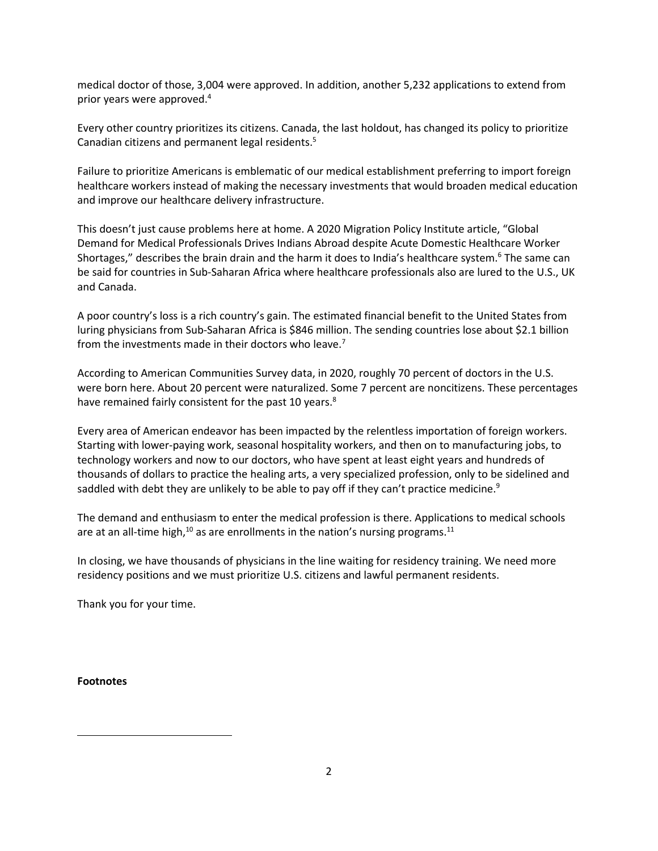medical doctor of those, 3,004 were approved. In addition, another 5,232 applications to extend from prior years were approved. 4

Every other country prioritizes its citizens. Canada, the last holdout, has changed its policy to prioritize Canadian citizens and permanent legal residents. 5

Failure to prioritize Americans is emblematic of our medical establishment preferring to import foreign healthcare workers instead of making the necessary investments that would broaden medical education and improve our healthcare delivery infrastructure.

This doesn't just cause problems here at home. A 2020 Migration Policy Institute article, "Global Demand for Medical Professionals Drives Indians Abroad despite Acute Domestic Healthcare Worker Shortages," describes the brain drain and the harm it does to India's healthcare system.<sup>6</sup> The same can be said for countries in Sub-Saharan Africa where healthcare professionals also are lured to the U.S., UK and Canada.

A poor country's loss is a rich country's gain. The estimated financial benefit to the United States from luring physicians from Sub-Saharan Africa is \$846 million. The sending countries lose about \$2.1 billion from the investments made in their doctors who leave.<sup>7</sup>

According to American Communities Survey data, in 2020, roughly 70 percent of doctors in the U.S. were born here. About 20 percent were naturalized. Some 7 percent are noncitizens. These percentages have remained fairly consistent for the past 10 years.<sup>8</sup>

Every area of American endeavor has been impacted by the relentless importation of foreign workers. Starting with lower-paying work, seasonal hospitality workers, and then on to manufacturing jobs, to technology workers and now to our doctors, who have spent at least eight years and hundreds of thousands of dollars to practice the healing arts, a very specialized profession, only to be sidelined and saddled with debt they are unlikely to be able to pay off if they can't practice medicine.<sup>9</sup>

The demand and enthusiasm to enter the medical profession is there. Applications to medical schools are at an all-time high, $^{10}$  as are enrollments in the nation's nursing programs. $^{11}$ 

In closing, we have thousands of physicians in the line waiting for residency training. We need more residency positions and we must prioritize U.S. citizens and lawful permanent residents.

Thank you for your time.

**Footnotes**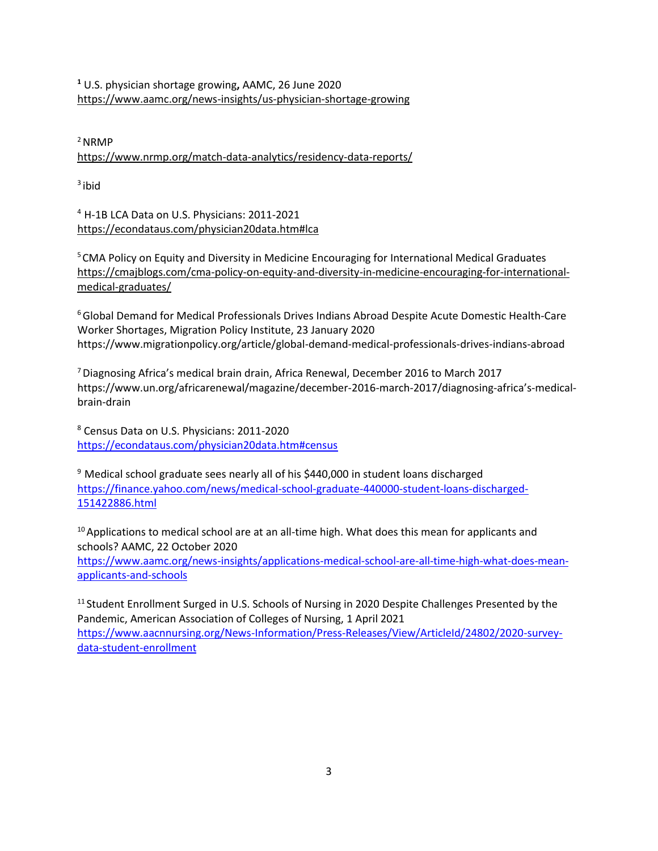**<sup>1</sup>** U.S. physician shortage growing**,** AAMC, 26 June 2020 <https://www.aamc.org/news-insights/us-physician-shortage-growing>

 $2$ NRMP

<https://www.nrmp.org/match-data-analytics/residency-data-reports/>

 $3$  ibid

<sup>4</sup> H-1B LCA Data on U.S. Physicians: 2011-2021 <https://econdataus.com/physician20data.htm#lca>

<sup>5</sup> CMA Policy on Equity and Diversity in Medicine Encouraging for International Medical Graduates [https://cmajblogs.com/cma-policy-on-equity-and-diversity-in-medicine-encouraging-for-international](https://cmajblogs.com/cma-policy-on-equity-and-diversity-in-medicine-encouraging-for-international-medical-graduates/)[medical-graduates/](https://cmajblogs.com/cma-policy-on-equity-and-diversity-in-medicine-encouraging-for-international-medical-graduates/)

<sup>6</sup>Global Demand for Medical Professionals Drives Indians Abroad Despite Acute Domestic Health-Care Worker Shortages, Migration Policy Institute, 23 January 2020 https://www.migrationpolicy.org/article/global-demand-medical-professionals-drives-indians-abroad

<sup>7</sup>Diagnosing Africa's medical brain drain, Africa Renewal, December 2016 to March 2017 https://www.un.org/africarenewal/magazine/december-2016-march-2017/diagnosing-africa's-medicalbrain-drain

<sup>8</sup> Census Data on U.S. Physicians: 2011-2020 <https://econdataus.com/physician20data.htm#census>

 $9$  Medical school graduate sees nearly all of his \$440,000 in student loans discharged [https://finance.yahoo.com/news/medical-school-graduate-440000-student-loans-discharged-](https://finance.yahoo.com/news/medical-school-graduate-440000-student-loans-discharged-151422886.html)[151422886.html](https://finance.yahoo.com/news/medical-school-graduate-440000-student-loans-discharged-151422886.html)

<sup>10</sup> Applications to medical school are at an all-time high. What does this mean for applicants and schools? AAMC, 22 October 2020 [https://www.aamc.org/news-insights/applications-medical-school-are-all-time-high-what-does-mean](https://www.aamc.org/news-insights/applications-medical-school-are-all-time-high-what-does-mean-applicants-and-schools)[applicants-and-schools](https://www.aamc.org/news-insights/applications-medical-school-are-all-time-high-what-does-mean-applicants-and-schools)

<sup>11</sup> Student Enrollment Surged in U.S. Schools of Nursing in 2020 Despite Challenges Presented by the Pandemic, American Association of Colleges of Nursing, 1 April 2021 [https://www.aacnnursing.org/News-Information/Press-Releases/View/ArticleId/24802/2020-survey](https://www.aacnnursing.org/News-Information/Press-Releases/View/ArticleId/24802/2020-survey-data-student-enrollment)[data-student-enrollment](https://www.aacnnursing.org/News-Information/Press-Releases/View/ArticleId/24802/2020-survey-data-student-enrollment)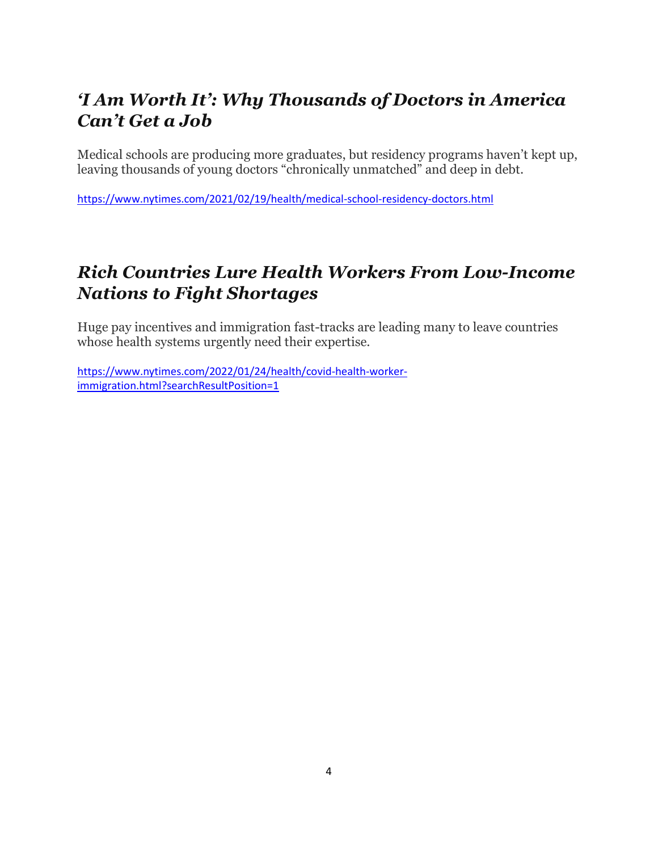# *'I Am Worth It': Why Thousands of Doctors in America Can't Get a Job*

Medical schools are producing more graduates, but residency programs haven't kept up, leaving thousands of young doctors "chronically unmatched" and deep in debt.

<https://www.nytimes.com/2021/02/19/health/medical-school-residency-doctors.html>

# *Rich Countries Lure Health Workers From Low-Income Nations to Fight Shortages*

Huge pay incentives and immigration fast-tracks are leading many to leave countries whose health systems urgently need their expertise.

[https://www.nytimes.com/2022/01/24/health/covid-health-worker](https://www.nytimes.com/2022/01/24/health/covid-health-worker-immigration.html?searchResultPosition=1)[immigration.html?searchResultPosition=1](https://www.nytimes.com/2022/01/24/health/covid-health-worker-immigration.html?searchResultPosition=1)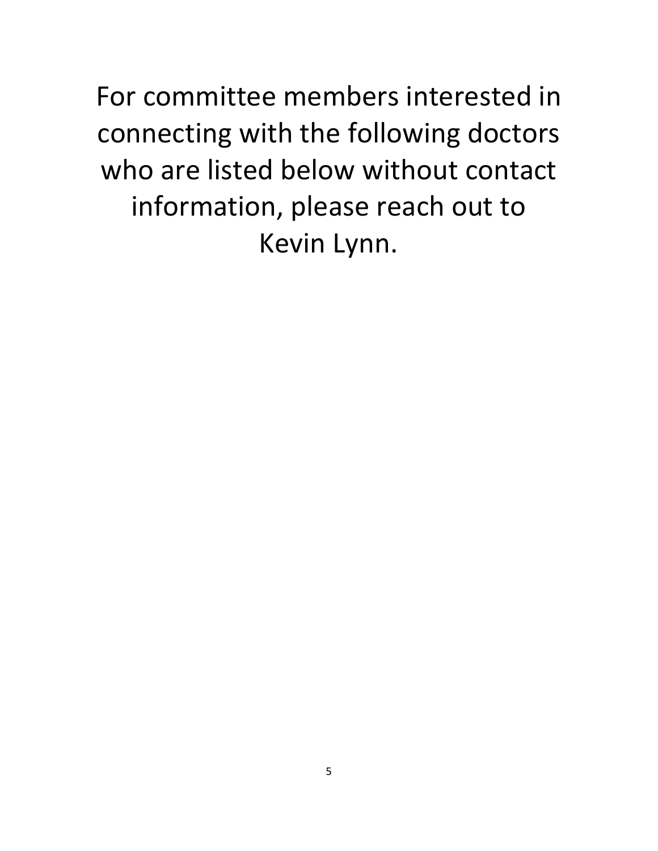For committee members interested in connecting with the following doctors who are listed below without contact information, please reach out to Kevin Lynn.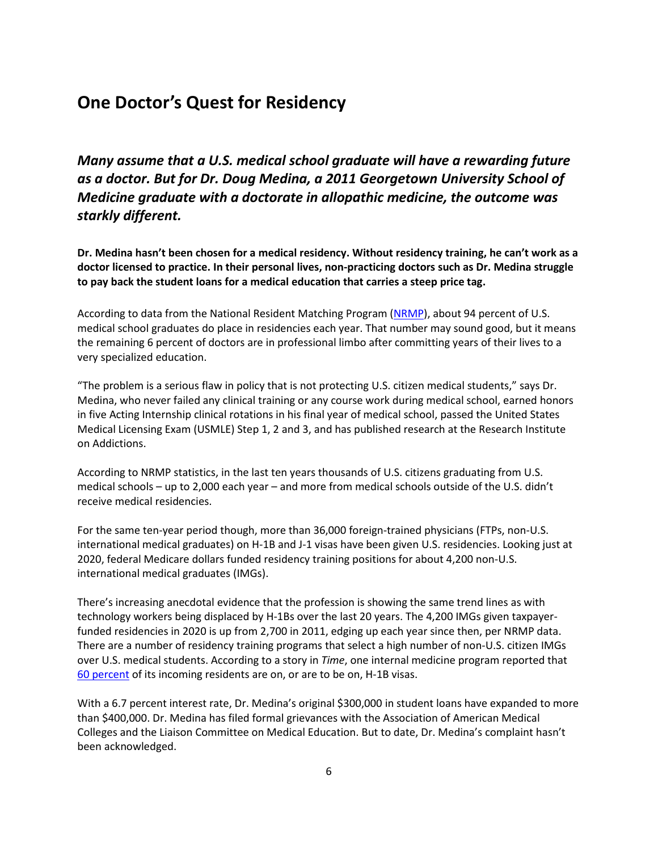## **One Doctor's Quest for Residency**

*Many assume that a U.S. medical school graduate will have a rewarding future as a doctor. But for Dr. Doug Medina, a 2011 Georgetown University School of Medicine graduate with a doctorate in allopathic medicine, the outcome was starkly different.*

**Dr. Medina hasn't been chosen for a medical residency. Without residency training, he can't work as a doctor licensed to practice. In their personal lives, non-practicing doctors such as Dr. Medina struggle to pay back the student loans for a medical education that carries a steep price tag.**

According to data from the National Resident Matching Program [\(NRMP\)](https://www.nrmp.org/), about 94 percent of U.S. medical school graduates do place in residencies each year. That number may sound good, but it means the remaining 6 percent of doctors are in professional limbo after committing years of their lives to a very specialized education.

"The problem is a serious flaw in policy that is not protecting U.S. citizen medical students," says Dr. Medina, who never failed any clinical training or any course work during medical school, earned honors in five Acting Internship clinical rotations in his final year of medical school, passed the United States Medical Licensing Exam (USMLE) Step 1, 2 and 3, and has published research at the Research Institute on Addictions.

According to NRMP statistics, in the last ten years thousands of U.S. citizens graduating from U.S. medical schools – up to 2,000 each year – and more from medical schools outside of the U.S. didn't receive medical residencies.

For the same ten-year period though, more than 36,000 foreign-trained physicians (FTPs, non-U.S. international medical graduates) on H-1B and J-1 visas have been given U.S. residencies. Looking just at 2020, federal Medicare dollars funded residency training positions for about 4,200 non-U.S. international medical graduates (IMGs).

There's increasing anecdotal evidence that the profession is showing the same trend lines as with technology workers being displaced by H-1Bs over the last 20 years. The 4,200 IMGs given taxpayerfunded residencies in 2020 is up from 2,700 in 2011, edging up each year since then, per NRMP data. There are a number of residency training programs that select a high number of non-U.S. citizen IMGs over U.S. medical students. According to a story in *Time*, one internal medicine program reported that [60 percent](https://time.com/5299488/international-medical-graduates/) of its incoming residents are on, or are to be on, H-1B visas.

With a 6.7 percent interest rate, Dr. Medina's original \$300,000 in student loans have expanded to more than \$400,000. Dr. Medina has filed formal grievances with the Association of American Medical Colleges and the Liaison Committee on Medical Education. But to date, Dr. Medina's complaint hasn't been acknowledged.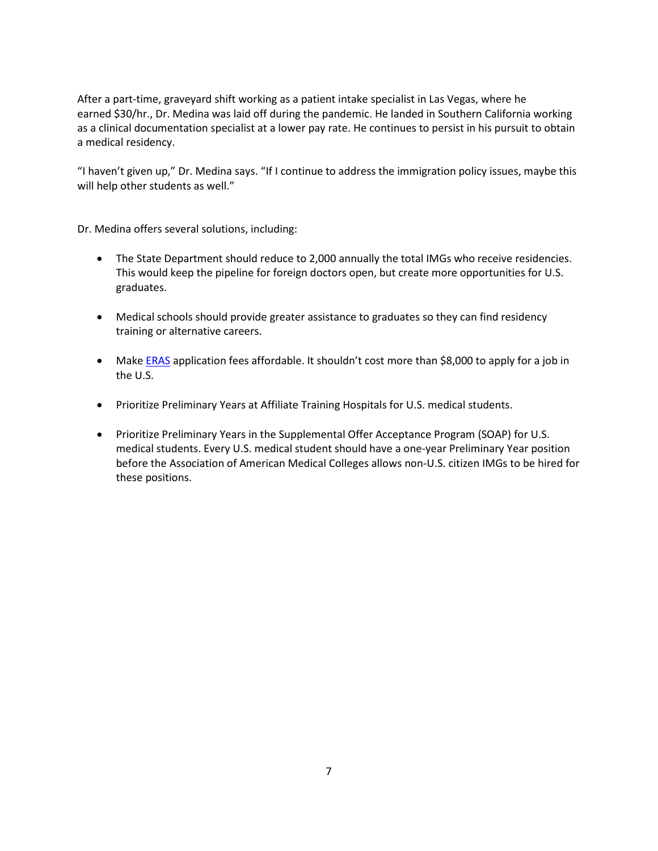After a part-time, graveyard shift working as a patient intake specialist in Las Vegas, where he earned \$30/hr., Dr. Medina was laid off during the pandemic. He landed in Southern California working as a clinical documentation specialist at a lower pay rate. He continues to persist in his pursuit to obtain a medical residency.

"I haven't given up," Dr. Medina says. "If I continue to address the immigration policy issues, maybe this will help other students as well."

Dr. Medina offers several solutions, including:

- The State Department should reduce to 2,000 annually the total IMGs who receive residencies. This would keep the pipeline for foreign doctors open, but create more opportunities for U.S. graduates.
- Medical schools should provide greater assistance to graduates so they can find residency training or alternative careers.
- Make **ERAS** application fees affordable. It shouldn't cost more than \$8,000 to apply for a job in the U.S.
- Prioritize Preliminary Years at Affiliate Training Hospitals for U.S. medical students.
- Prioritize Preliminary Years in the Supplemental Offer Acceptance Program (SOAP) for U.S. medical students. Every U.S. medical student should have a one-year Preliminary Year position before the Association of American Medical Colleges allows non-U.S. citizen IMGs to be hired for these positions.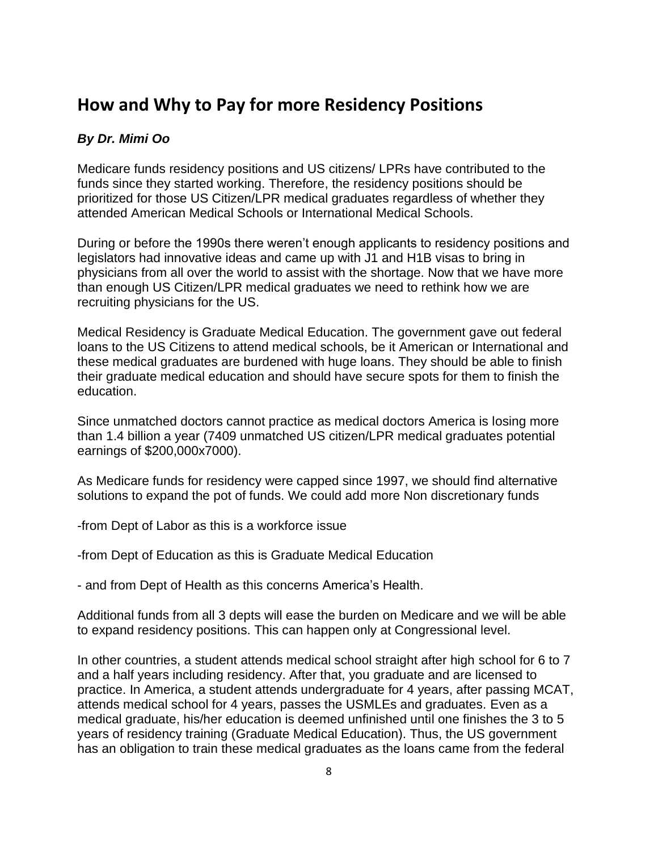## **How and Why to Pay for more Residency Positions**

## *By Dr. Mimi Oo*

Medicare funds residency positions and US citizens/ LPRs have contributed to the funds since they started working. Therefore, the residency positions should be prioritized for those US Citizen/LPR medical graduates regardless of whether they attended American Medical Schools or International Medical Schools.

During or before the 1990s there weren't enough applicants to residency positions and legislators had innovative ideas and came up with J1 and H1B visas to bring in physicians from all over the world to assist with the shortage. Now that we have more than enough US Citizen/LPR medical graduates we need to rethink how we are recruiting physicians for the US.

Medical Residency is Graduate Medical Education. The government gave out federal loans to the US Citizens to attend medical schools, be it American or International and these medical graduates are burdened with huge loans. They should be able to finish their graduate medical education and should have secure spots for them to finish the education.

Since unmatched doctors cannot practice as medical doctors America is losing more than 1.4 billion a year (7409 unmatched US citizen/LPR medical graduates potential earnings of \$200,000x7000).

As Medicare funds for residency were capped since 1997, we should find alternative solutions to expand the pot of funds. We could add more Non discretionary funds

-from Dept of Labor as this is a workforce issue

-from Dept of Education as this is Graduate Medical Education

- and from Dept of Health as this concerns America's Health.

Additional funds from all 3 depts will ease the burden on Medicare and we will be able to expand residency positions. This can happen only at Congressional level.

In other countries, a student attends medical school straight after high school for 6 to 7 and a half years including residency. After that, you graduate and are licensed to practice. In America, a student attends undergraduate for 4 years, after passing MCAT, attends medical school for 4 years, passes the USMLEs and graduates. Even as a medical graduate, his/her education is deemed unfinished until one finishes the 3 to 5 years of residency training (Graduate Medical Education). Thus, the US government has an obligation to train these medical graduates as the loans came from the federal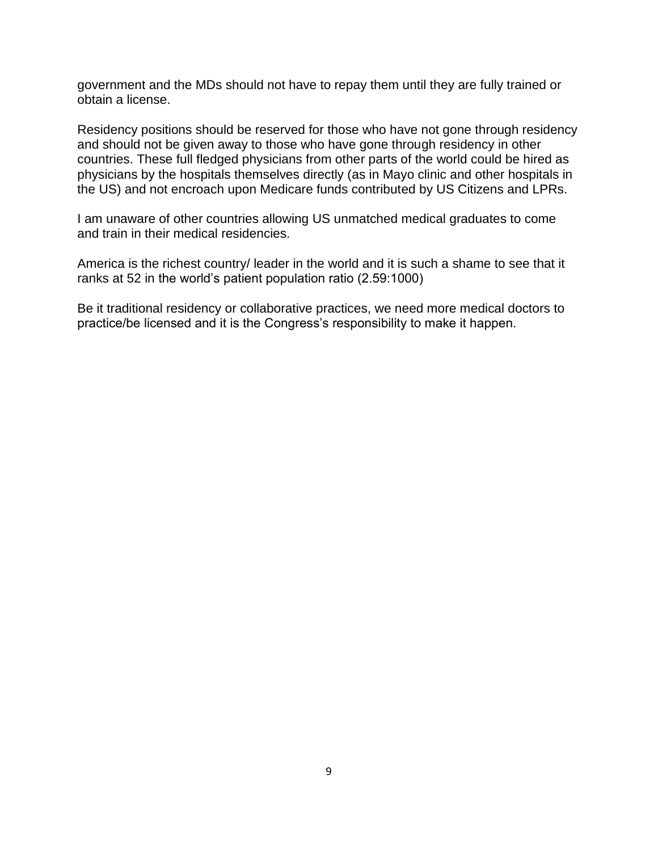government and the MDs should not have to repay them until they are fully trained or obtain a license.

Residency positions should be reserved for those who have not gone through residency and should not be given away to those who have gone through residency in other countries. These full fledged physicians from other parts of the world could be hired as physicians by the hospitals themselves directly (as in Mayo clinic and other hospitals in the US) and not encroach upon Medicare funds contributed by US Citizens and LPRs.

I am unaware of other countries allowing US unmatched medical graduates to come and train in their medical residencies.

America is the richest country/ leader in the world and it is such a shame to see that it ranks at 52 in the world's patient population ratio (2.59:1000)

Be it traditional residency or collaborative practices, we need more medical doctors to practice/be licensed and it is the Congress's responsibility to make it happen.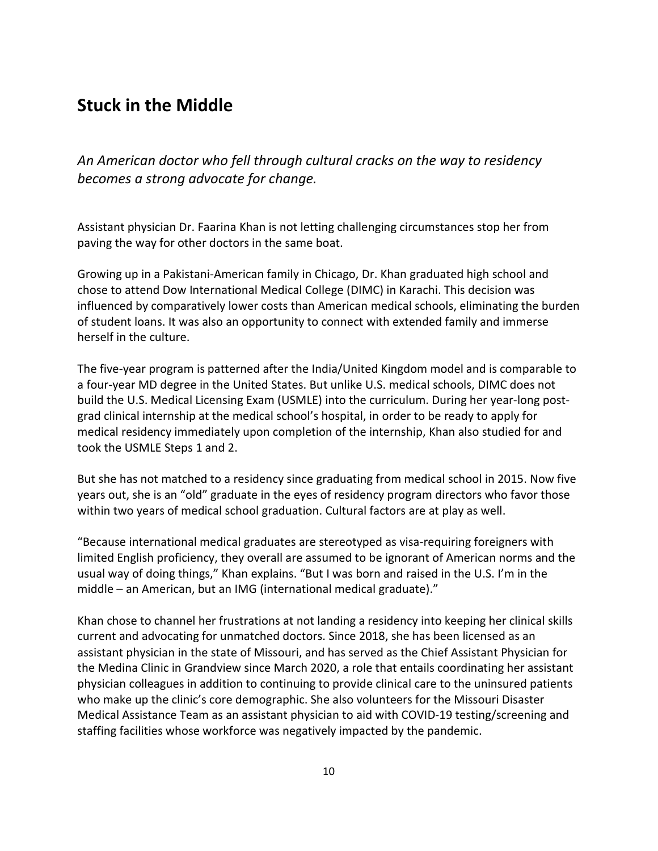## **Stuck in the Middle**

*An American doctor who fell through cultural cracks on the way to residency becomes a strong advocate for change.*

Assistant physician Dr. Faarina Khan is not letting challenging circumstances stop her from paving the way for other doctors in the same boat.

Growing up in a Pakistani-American family in Chicago, Dr. Khan graduated high school and chose to attend Dow International Medical College (DIMC) in Karachi. This decision was influenced by comparatively lower costs than American medical schools, eliminating the burden of student loans. It was also an opportunity to connect with extended family and immerse herself in the culture.

The five-year program is patterned after the India/United Kingdom model and is comparable to a four-year MD degree in the United States. But unlike U.S. medical schools, DIMC does not build the U.S. Medical Licensing Exam (USMLE) into the curriculum. During her year-long postgrad clinical internship at the medical school's hospital, in order to be ready to apply for medical residency immediately upon completion of the internship, Khan also studied for and took the USMLE Steps 1 and 2.

But she has not matched to a residency since graduating from medical school in 2015. Now five years out, she is an "old" graduate in the eyes of residency program directors who favor those within two years of medical school graduation. Cultural factors are at play as well.

"Because international medical graduates are stereotyped as visa-requiring foreigners with limited English proficiency, they overall are assumed to be ignorant of American norms and the usual way of doing things," Khan explains. "But I was born and raised in the U.S. I'm in the middle – an American, but an IMG (international medical graduate)."

Khan chose to channel her frustrations at not landing a residency into keeping her clinical skills current and advocating for unmatched doctors. Since 2018, she has been licensed as an assistant physician in the state of Missouri, and has served as the Chief Assistant Physician for the Medina Clinic in Grandview since March 2020, a role that entails coordinating her assistant physician colleagues in addition to continuing to provide clinical care to the uninsured patients who make up the clinic's core demographic. She also volunteers for the Missouri Disaster Medical Assistance Team as an assistant physician to aid with COVID-19 testing/screening and staffing facilities whose workforce was negatively impacted by the pandemic.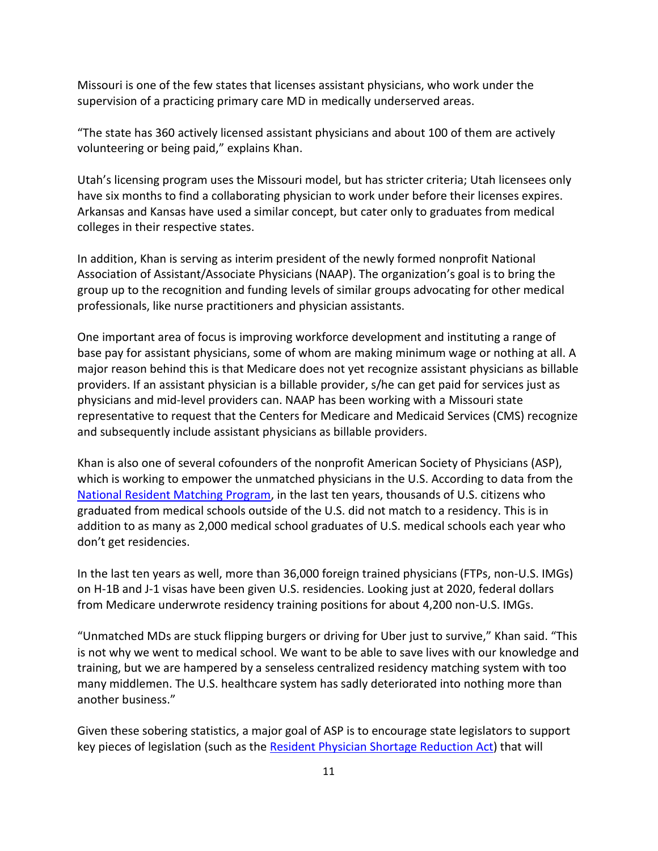Missouri is one of the few states that licenses assistant physicians, who work under the supervision of a practicing primary care MD in medically underserved areas.

"The state has 360 actively licensed assistant physicians and about 100 of them are actively volunteering or being paid," explains Khan.

Utah's licensing program uses the Missouri model, but has stricter criteria; Utah licensees only have six months to find a collaborating physician to work under before their licenses expires. Arkansas and Kansas have used a similar concept, but cater only to graduates from medical colleges in their respective states.

In addition, Khan is serving as interim president of the newly formed nonprofit National Association of Assistant/Associate Physicians (NAAP). The organization's goal is to bring the group up to the recognition and funding levels of similar groups advocating for other medical professionals, like nurse practitioners and physician assistants.

One important area of focus is improving workforce development and instituting a range of base pay for assistant physicians, some of whom are making minimum wage or nothing at all. A major reason behind this is that Medicare does not yet recognize assistant physicians as billable providers. If an assistant physician is a billable provider, s/he can get paid for services just as physicians and mid-level providers can. NAAP has been working with a Missouri state representative to request that the Centers for Medicare and Medicaid Services (CMS) recognize and subsequently include assistant physicians as billable providers.

Khan is also one of several cofounders of the nonprofit American Society of Physicians (ASP), which is working to empower the unmatched physicians in the U.S. According to data from the [National Resident Matching Program,](https://www.nrmp.org/) in the last ten years, thousands of U.S. citizens who graduated from medical schools outside of the U.S. did not match to a residency. This is in addition to as many as 2,000 medical school graduates of U.S. medical schools each year who don't get residencies.

In the last ten years as well, more than 36,000 foreign trained physicians (FTPs, non-U.S. IMGs) on H-1B and J-1 visas have been given U.S. residencies. Looking just at 2020, federal dollars from Medicare underwrote residency training positions for about 4,200 non-U.S. IMGs.

"Unmatched MDs are stuck flipping burgers or driving for Uber just to survive," Khan said. "This is not why we went to medical school. We want to be able to save lives with our knowledge and training, but we are hampered by a senseless centralized residency matching system with too many middlemen. The U.S. healthcare system has sadly deteriorated into nothing more than another business."

Given these sobering statistics, a major goal of ASP is to encourage state legislators to support key pieces of legislation (such as the [Resident Physician Shortage Reduction Act\)](https://www.congress.gov/bill/116th-congress/senate-bill/348) that will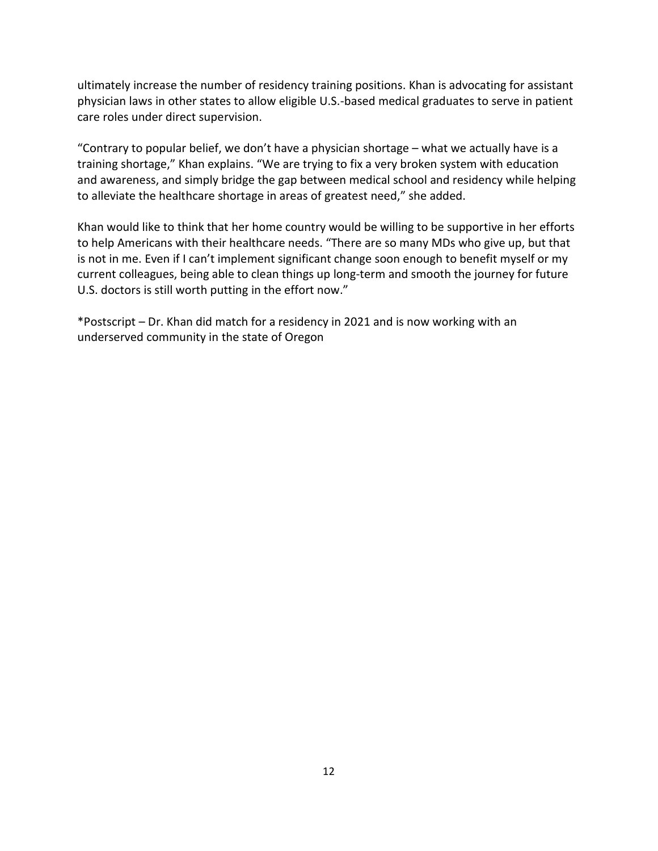ultimately increase the number of residency training positions. Khan is advocating for assistant physician laws in other states to allow eligible U.S.-based medical graduates to serve in patient care roles under direct supervision.

"Contrary to popular belief, we don't have a physician shortage – what we actually have is a training shortage," Khan explains. "We are trying to fix a very broken system with education and awareness, and simply bridge the gap between medical school and residency while helping to alleviate the healthcare shortage in areas of greatest need," she added.

Khan would like to think that her home country would be willing to be supportive in her efforts to help Americans with their healthcare needs. "There are so many MDs who give up, but that is not in me. Even if I can't implement significant change soon enough to benefit myself or my current colleagues, being able to clean things up long-term and smooth the journey for future U.S. doctors is still worth putting in the effort now."

\*Postscript – Dr. Khan did match for a residency in 2021 and is now working with an underserved community in the state of Oregon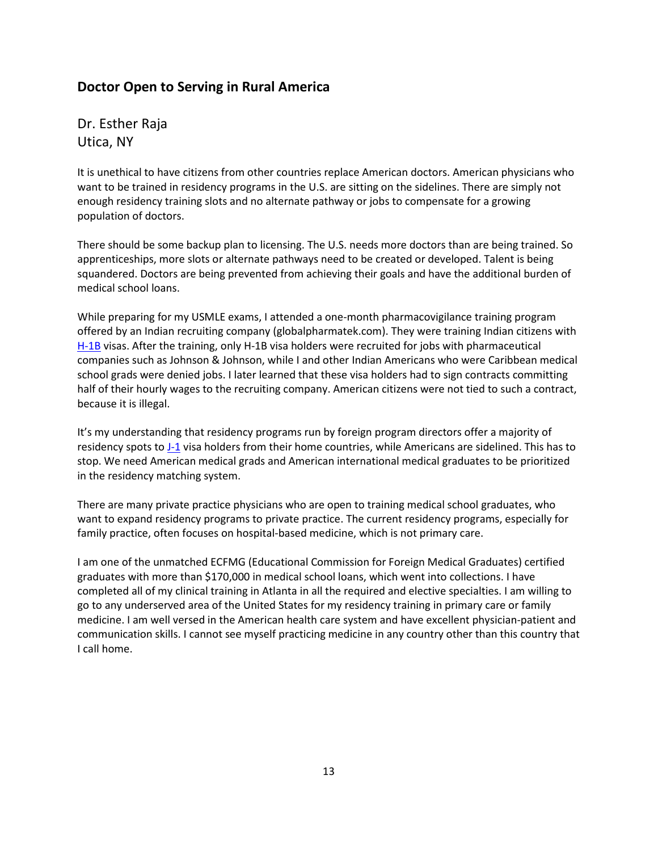## **Doctor Open to Serving in Rural America**

Dr. Esther Raja Utica, NY

It is unethical to have citizens from other countries replace American doctors. American physicians who want to be trained in residency programs in the U.S. are sitting on the sidelines. There are simply not enough residency training slots and no alternate pathway or jobs to compensate for a growing population of doctors.

There should be some backup plan to licensing. The U.S. needs more doctors than are being trained. So apprenticeships, more slots or alternate pathways need to be created or developed. Talent is being squandered. Doctors are being prevented from achieving their goals and have the additional burden of medical school loans.

While preparing for my USMLE exams, I attended a one-month pharmacovigilance training program offered by an Indian recruiting company (globalpharmatek.com). They were training Indian citizens with [H-1B](https://ustechworkers.com/h1-b-visa/) visas. After the training, only H-1B visa holders were recruited for jobs with pharmaceutical companies such as Johnson & Johnson, while I and other Indian Americans who were Caribbean medical school grads were denied jobs. I later learned that these visa holders had to sign contracts committing half of their hourly wages to the recruiting company. American citizens were not tied to such a contract, because it is illegal.

It's my understanding that residency programs run by foreign program directors offer a majority of residency spots t[o J-1](https://ustechworkers.com/j1visa/) visa holders from their home countries, while Americans are sidelined. This has to stop. We need American medical grads and American international medical graduates to be prioritized in the residency matching system.

There are many private practice physicians who are open to training medical school graduates, who want to expand residency programs to private practice. The current residency programs, especially for family practice, often focuses on hospital-based medicine, which is not primary care.

I am one of the unmatched ECFMG (Educational Commission for Foreign Medical Graduates) certified graduates with more than \$170,000 in medical school loans, which went into collections. I have completed all of my clinical training in Atlanta in all the required and elective specialties. I am willing to go to any underserved area of the United States for my residency training in primary care or family medicine. I am well versed in the American health care system and have excellent physician-patient and communication skills. I cannot see myself practicing medicine in any country other than this country that I call home.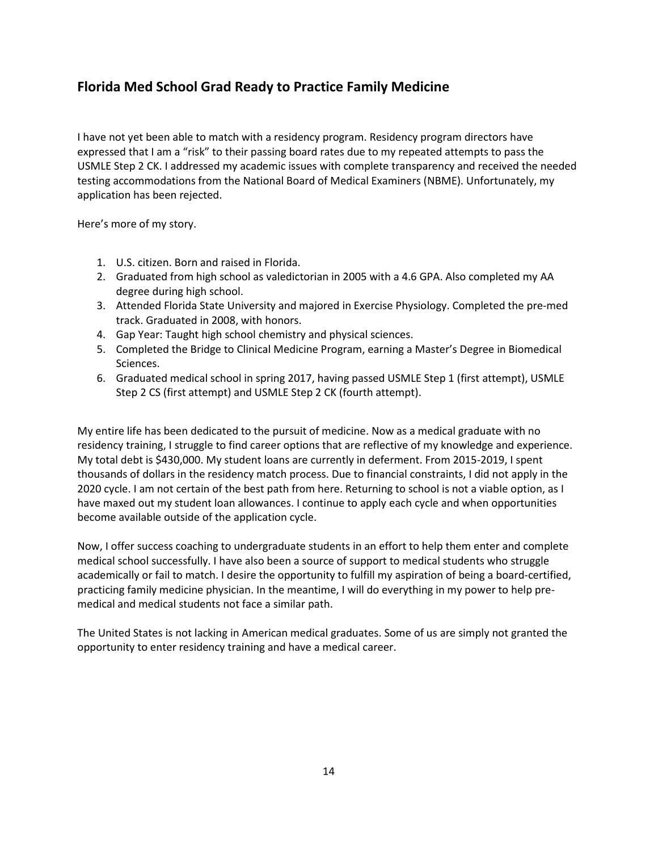## **Florida Med School Grad Ready to Practice Family Medicine**

I have not yet been able to match with a residency program. Residency program directors have expressed that I am a "risk" to their passing board rates due to my repeated attempts to pass the USMLE Step 2 CK. I addressed my academic issues with complete transparency and received the needed testing accommodations from the National Board of Medical Examiners (NBME). Unfortunately, my application has been rejected.

Here's more of my story.

- 1. U.S. citizen. Born and raised in Florida.
- 2. Graduated from high school as valedictorian in 2005 with a 4.6 GPA. Also completed my AA degree during high school.
- 3. Attended Florida State University and majored in Exercise Physiology. Completed the pre-med track. Graduated in 2008, with honors.
- 4. Gap Year: Taught high school chemistry and physical sciences.
- 5. Completed the Bridge to Clinical Medicine Program, earning a Master's Degree in Biomedical Sciences.
- 6. Graduated medical school in spring 2017, having passed USMLE Step 1 (first attempt), USMLE Step 2 CS (first attempt) and USMLE Step 2 CK (fourth attempt).

My entire life has been dedicated to the pursuit of medicine. Now as a medical graduate with no residency training, I struggle to find career options that are reflective of my knowledge and experience. My total debt is \$430,000. My student loans are currently in deferment. From 2015-2019, I spent thousands of dollars in the residency match process. Due to financial constraints, I did not apply in the 2020 cycle. I am not certain of the best path from here. Returning to school is not a viable option, as I have maxed out my student loan allowances. I continue to apply each cycle and when opportunities become available outside of the application cycle.

Now, I offer success coaching to undergraduate students in an effort to help them enter and complete medical school successfully. I have also been a source of support to medical students who struggle academically or fail to match. I desire the opportunity to fulfill my aspiration of being a board-certified, practicing family medicine physician. In the meantime, I will do everything in my power to help premedical and medical students not face a similar path.

The United States is not lacking in American medical graduates. Some of us are simply not granted the opportunity to enter residency training and have a medical career.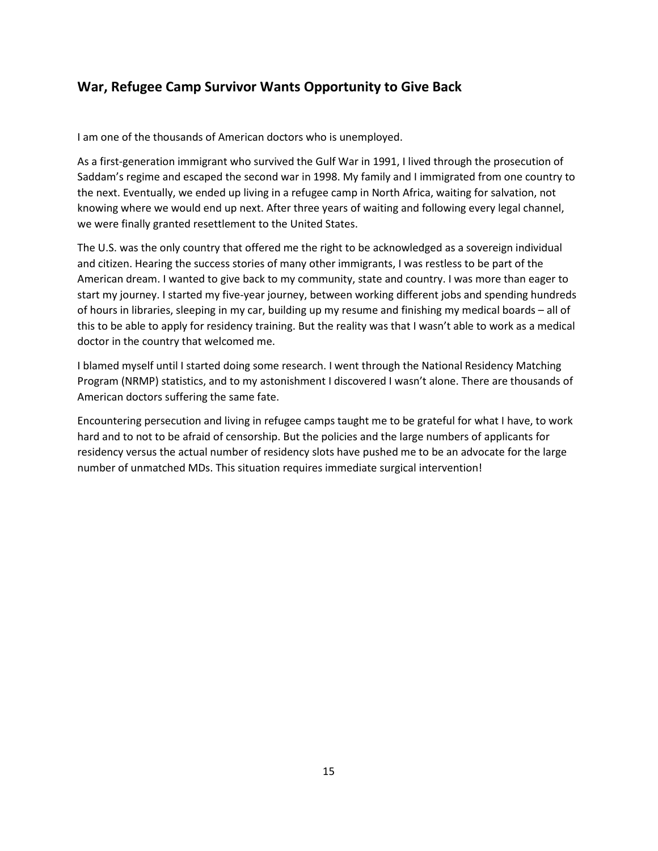## **War, Refugee Camp Survivor Wants Opportunity to Give Back**

I am one of the thousands of American doctors who is unemployed.

As a first-generation immigrant who survived the Gulf War in 1991, I lived through the prosecution of Saddam's regime and escaped the second war in 1998. My family and I immigrated from one country to the next. Eventually, we ended up living in a refugee camp in North Africa, waiting for salvation, not knowing where we would end up next. After three years of waiting and following every legal channel, we were finally granted resettlement to the United States.

The U.S. was the only country that offered me the right to be acknowledged as a sovereign individual and citizen. Hearing the success stories of many other immigrants, I was restless to be part of the American dream. I wanted to give back to my community, state and country. I was more than eager to start my journey. I started my five-year journey, between working different jobs and spending hundreds of hours in libraries, sleeping in my car, building up my resume and finishing my medical boards – all of this to be able to apply for residency training. But the reality was that I wasn't able to work as a medical doctor in the country that welcomed me.

I blamed myself until I started doing some research. I went through the National Residency Matching Program (NRMP) statistics, and to my astonishment I discovered I wasn't alone. There are thousands of American doctors suffering the same fate.

Encountering persecution and living in refugee camps taught me to be grateful for what I have, to work hard and to not to be afraid of censorship. But the policies and the large numbers of applicants for residency versus the actual number of residency slots have pushed me to be an advocate for the large number of unmatched MDs. This situation requires immediate surgical intervention!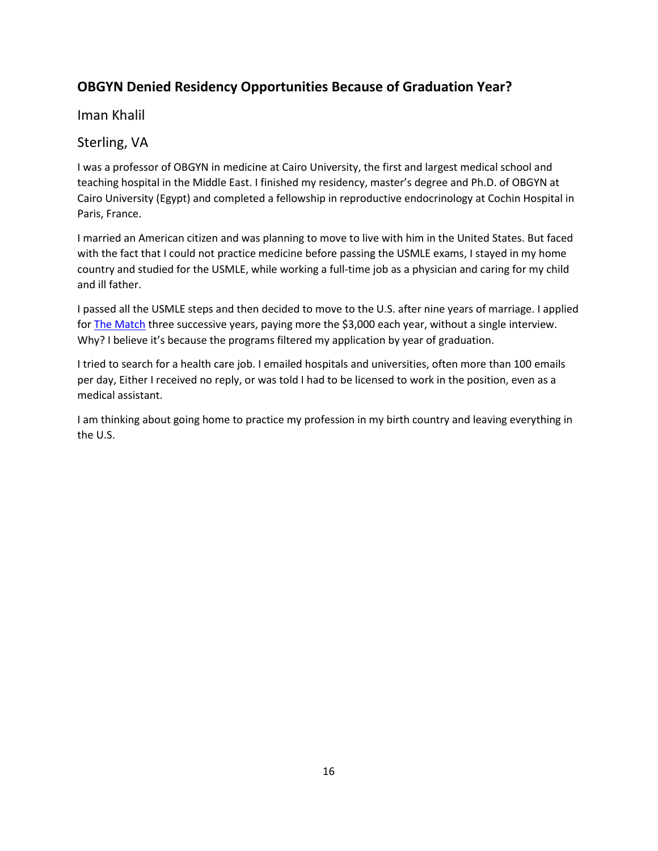## **OBGYN Denied Residency Opportunities Because of Graduation Year?**

### Iman Khalil

## Sterling, VA

I was a professor of OBGYN in medicine at Cairo University, the first and largest medical school and teaching hospital in the Middle East. I finished my residency, master's degree and Ph.D. of OBGYN at Cairo University (Egypt) and completed a fellowship in reproductive endocrinology at Cochin Hospital in Paris, France.

I married an American citizen and was planning to move to live with him in the United States. But faced with the fact that I could not practice medicine before passing the USMLE exams, I stayed in my home country and studied for the USMLE, while working a full-time job as a physician and caring for my child and ill father.

I passed all the USMLE steps and then decided to move to the U.S. after nine years of marriage. I applied fo[r The Match](https://www.nrmp.org/) three successive years, paying more the \$3,000 each year, without a single interview. Why? I believe it's because the programs filtered my application by year of graduation.

I tried to search for a health care job. I emailed hospitals and universities, often more than 100 emails per day, Either I received no reply, or was told I had to be licensed to work in the position, even as a medical assistant.

I am thinking about going home to practice my profession in my birth country and leaving everything in the U.S.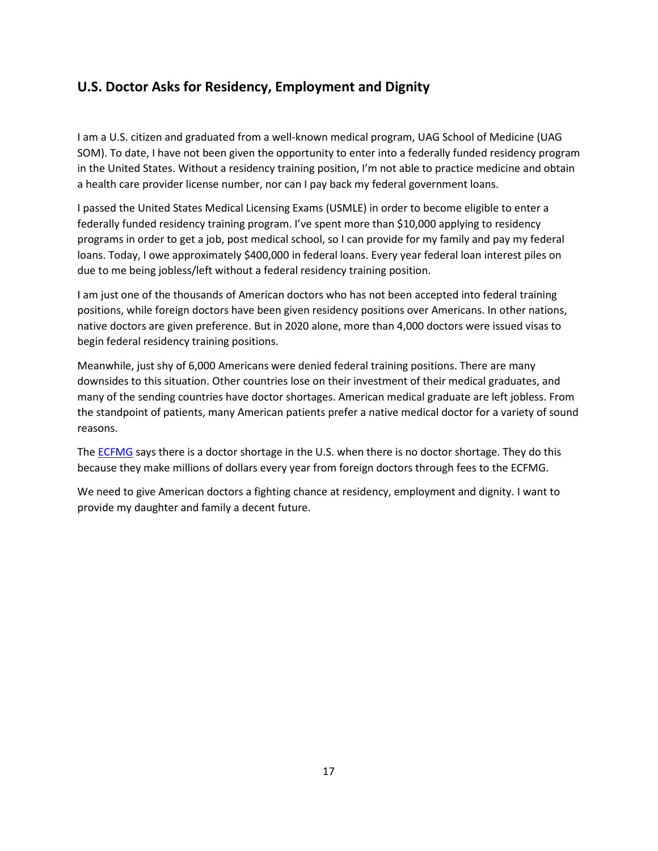## **U.S. Doctor Asks for Residency, Employment and Dignity**

I am a U.S. citizen and graduated from a well-known medical program, UAG School of Medicine (UAG SOM). To date, I have not been given the opportunity to enter into a federally funded residency program in the United States. Without a residency training position, I'm not able to practice medicine and obtain a health care provider license number, nor can I pay back my federal government loans.

I passed the United States Medical Licensing Exams (USMLE) in order to become eligible to enter a federally funded residency training program. I've spent more than \$10,000 applying to residency programs in order to get a job, post medical school, so I can provide for my family and pay my federal loans. Today, I owe approximately \$400,000 in federal loans. Every year federal loan interest piles on due to me being jobless/left without a federal residency training position.

I am just one of the thousands of American doctors who has not been accepted into federal training positions, while foreign doctors have been given residency positions over Americans. In other nations, native doctors are given preference. But in 2020 alone, more than 4,000 doctors were issued visas to begin federal residency training positions.

Meanwhile, just shy of 6,000 Americans were denied federal training positions. There are many downsides to this situation. Other countries lose on their investment of their medical graduates, and many of the sending countries have doctor shortages. American medical graduate are left jobless. From the standpoint of patients, many American patients prefer a native medical doctor for a variety of sound reasons.

The **ECFMG** says there is a doctor shortage in the U.S. when there is no doctor shortage. They do this because they make millions of dollars every year from foreign doctors through fees to the ECFMG.

We need to give American doctors a fighting chance at residency, employment and dignity. I want to provide my daughter and family a decent future.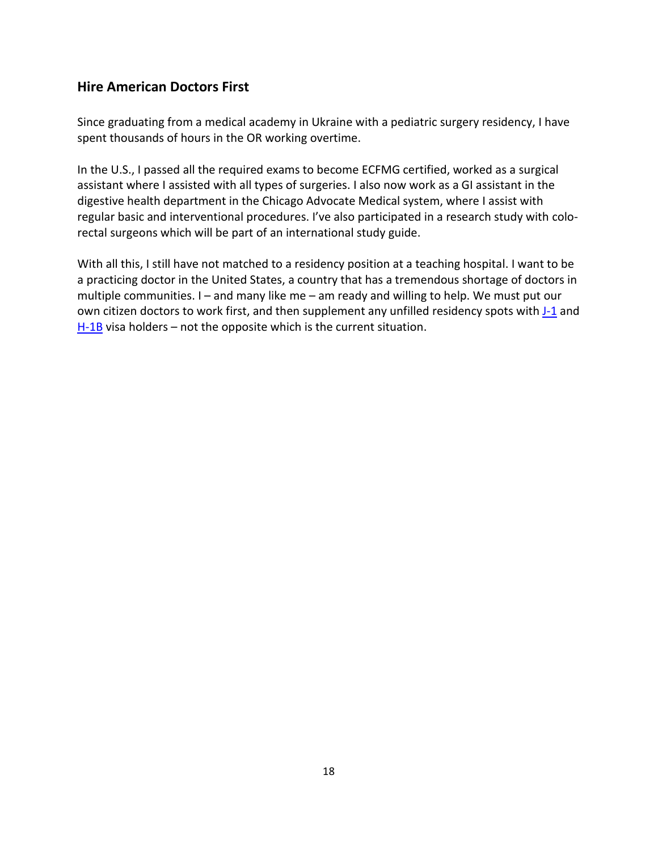## **Hire American Doctors First**

Since graduating from a medical academy in Ukraine with a pediatric surgery residency, I have spent thousands of hours in the OR working overtime.

In the U.S., I passed all the required exams to become ECFMG certified, worked as a surgical assistant where I assisted with all types of surgeries. I also now work as a GI assistant in the digestive health department in the Chicago Advocate Medical system, where I assist with regular basic and interventional procedures. I've also participated in a research study with colorectal surgeons which will be part of an international study guide.

With all this, I still have not matched to a residency position at a teaching hospital. I want to be a practicing doctor in the United States, a country that has a tremendous shortage of doctors in multiple communities. I – and many like me – am ready and willing to help. We must put our own citizen doctors to work first, and then supplement any unfilled residency spots with [J-1](https://ustechworkers.com/j1visa/) and  $H-1B$  visa holders – not the opposite which is the current situation.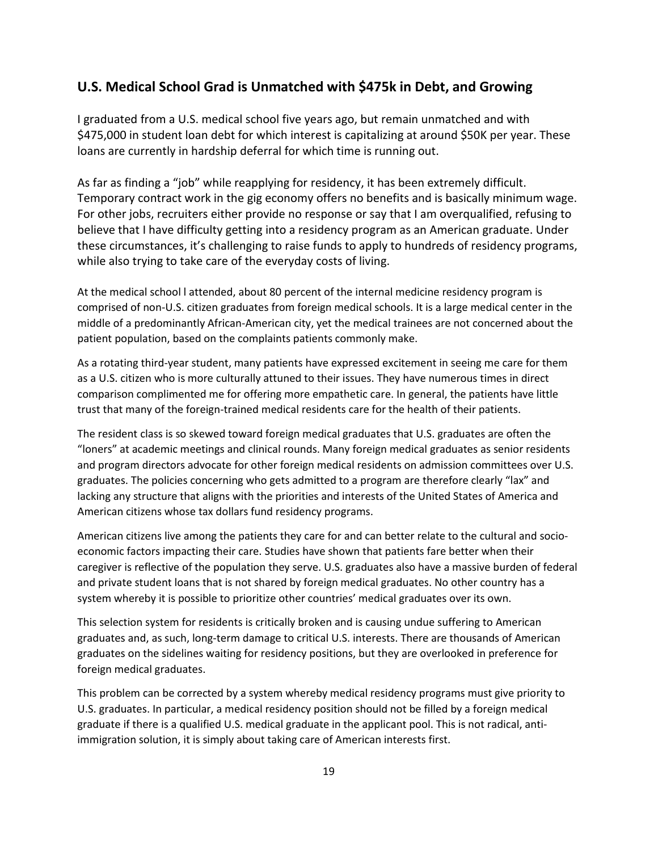### **U.S. Medical School Grad is Unmatched with \$475k in Debt, and Growing**

I graduated from a U.S. medical school five years ago, but remain unmatched and with \$475,000 in student loan debt for which interest is capitalizing at around \$50K per year. These loans are currently in hardship deferral for which time is running out.

As far as finding a "job" while reapplying for residency, it has been extremely difficult. Temporary contract work in the gig economy offers no benefits and is basically minimum wage. For other jobs, recruiters either provide no response or say that I am overqualified, refusing to believe that I have difficulty getting into a residency program as an American graduate. Under these circumstances, it's challenging to raise funds to apply to hundreds of residency programs, while also trying to take care of the everyday costs of living.

At the medical school l attended, about 80 percent of the internal medicine residency program is comprised of non-U.S. citizen graduates from foreign medical schools. It is a large medical center in the middle of a predominantly African-American city, yet the medical trainees are not concerned about the patient population, based on the complaints patients commonly make.

As a rotating third-year student, many patients have expressed excitement in seeing me care for them as a U.S. citizen who is more culturally attuned to their issues. They have numerous times in direct comparison complimented me for offering more empathetic care. In general, the patients have little trust that many of the foreign-trained medical residents care for the health of their patients.

The resident class is so skewed toward foreign medical graduates that U.S. graduates are often the "loners" at academic meetings and clinical rounds. Many foreign medical graduates as senior residents and program directors advocate for other foreign medical residents on admission committees over U.S. graduates. The policies concerning who gets admitted to a program are therefore clearly "lax" and lacking any structure that aligns with the priorities and interests of the United States of America and American citizens whose tax dollars fund residency programs.

American citizens live among the patients they care for and can better relate to the cultural and socioeconomic factors impacting their care. Studies have shown that patients fare better when their caregiver is reflective of the population they serve. U.S. graduates also have a massive burden of federal and private student loans that is not shared by foreign medical graduates. No other country has a system whereby it is possible to prioritize other countries' medical graduates over its own.

This selection system for residents is critically broken and is causing undue suffering to American graduates and, as such, long-term damage to critical U.S. interests. There are thousands of American graduates on the sidelines waiting for residency positions, but they are overlooked in preference for foreign medical graduates.

This problem can be corrected by a system whereby medical residency programs must give priority to U.S. graduates. In particular, a medical residency position should not be filled by a foreign medical graduate if there is a qualified U.S. medical graduate in the applicant pool. This is not radical, antiimmigration solution, it is simply about taking care of American interests first.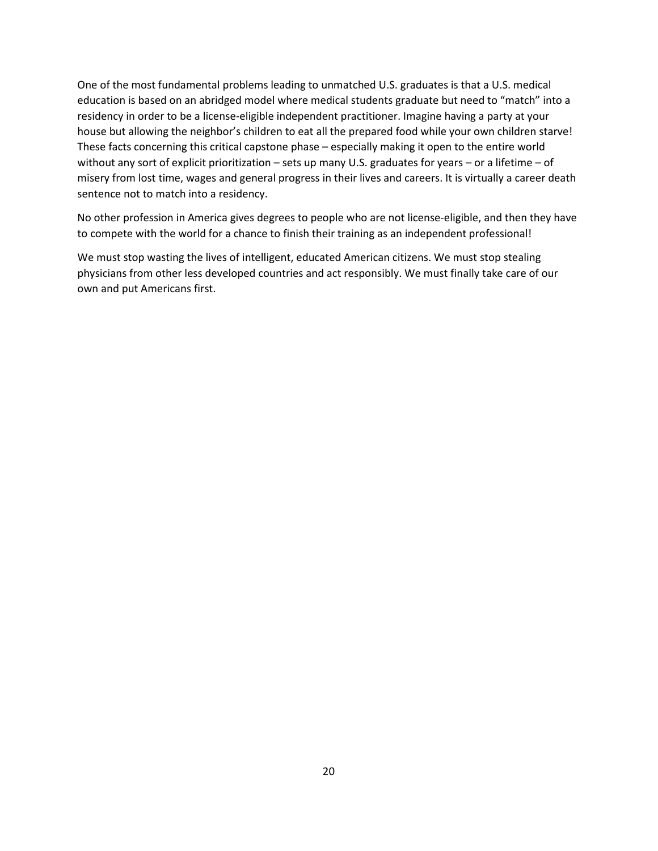One of the most fundamental problems leading to unmatched U.S. graduates is that a U.S. medical education is based on an abridged model where medical students graduate but need to "match" into a residency in order to be a license-eligible independent practitioner. Imagine having a party at your house but allowing the neighbor's children to eat all the prepared food while your own children starve! These facts concerning this critical capstone phase – especially making it open to the entire world without any sort of explicit prioritization – sets up many U.S. graduates for years – or a lifetime – of misery from lost time, wages and general progress in their lives and careers. It is virtually a career death sentence not to match into a residency.

No other profession in America gives degrees to people who are not license-eligible, and then they have to compete with the world for a chance to finish their training as an independent professional!

We must stop wasting the lives of intelligent, educated American citizens. We must stop stealing physicians from other less developed countries and act responsibly. We must finally take care of our own and put Americans first.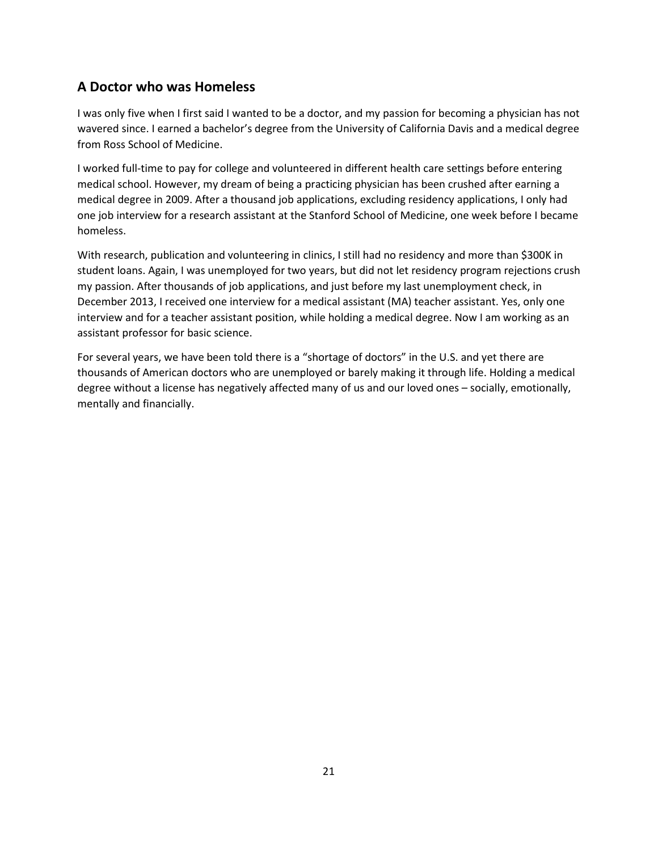## **A Doctor who was Homeless**

I was only five when I first said I wanted to be a doctor, and my passion for becoming a physician has not wavered since. I earned a bachelor's degree from the University of California Davis and a medical degree from Ross School of Medicine.

I worked full-time to pay for college and volunteered in different health care settings before entering medical school. However, my dream of being a practicing physician has been crushed after earning a medical degree in 2009. After a thousand job applications, excluding residency applications, I only had one job interview for a research assistant at the Stanford School of Medicine, one week before I became homeless.

With research, publication and volunteering in clinics, I still had no residency and more than \$300K in student loans. Again, I was unemployed for two years, but did not let residency program rejections crush my passion. After thousands of job applications, and just before my last unemployment check, in December 2013, I received one interview for a medical assistant (MA) teacher assistant. Yes, only one interview and for a teacher assistant position, while holding a medical degree. Now I am working as an assistant professor for basic science.

For several years, we have been told there is a "shortage of doctors" in the U.S. and yet there are thousands of American doctors who are unemployed or barely making it through life. Holding a medical degree without a license has negatively affected many of us and our loved ones – socially, emotionally, mentally and financially.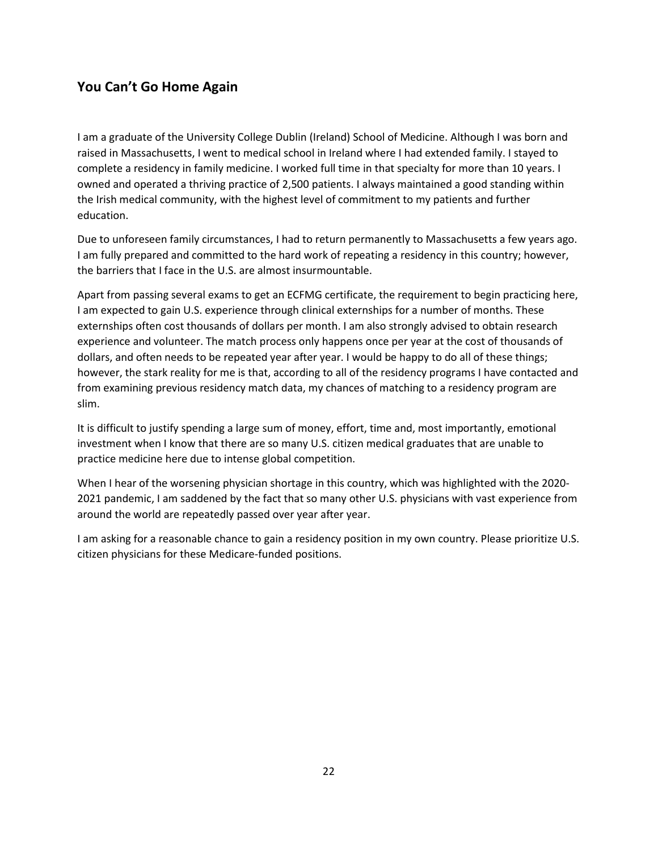## **You Can't Go Home Again**

I am a graduate of the University College Dublin (Ireland) School of Medicine. Although I was born and raised in Massachusetts, I went to medical school in Ireland where I had extended family. I stayed to complete a residency in family medicine. I worked full time in that specialty for more than 10 years. I owned and operated a thriving practice of 2,500 patients. I always maintained a good standing within the Irish medical community, with the highest level of commitment to my patients and further education.

Due to unforeseen family circumstances, I had to return permanently to Massachusetts a few years ago. I am fully prepared and committed to the hard work of repeating a residency in this country; however, the barriers that I face in the U.S. are almost insurmountable.

Apart from passing several exams to get an ECFMG certificate, the requirement to begin practicing here, I am expected to gain U.S. experience through clinical externships for a number of months. These externships often cost thousands of dollars per month. I am also strongly advised to obtain research experience and volunteer. The match process only happens once per year at the cost of thousands of dollars, and often needs to be repeated year after year. I would be happy to do all of these things; however, the stark reality for me is that, according to all of the residency programs I have contacted and from examining previous residency match data, my chances of matching to a residency program are slim.

It is difficult to justify spending a large sum of money, effort, time and, most importantly, emotional investment when I know that there are so many U.S. citizen medical graduates that are unable to practice medicine here due to intense global competition.

When I hear of the worsening physician shortage in this country, which was highlighted with the 2020- 2021 pandemic, I am saddened by the fact that so many other U.S. physicians with vast experience from around the world are repeatedly passed over year after year.

I am asking for a reasonable chance to gain a residency position in my own country. Please prioritize U.S. citizen physicians for these Medicare-funded positions.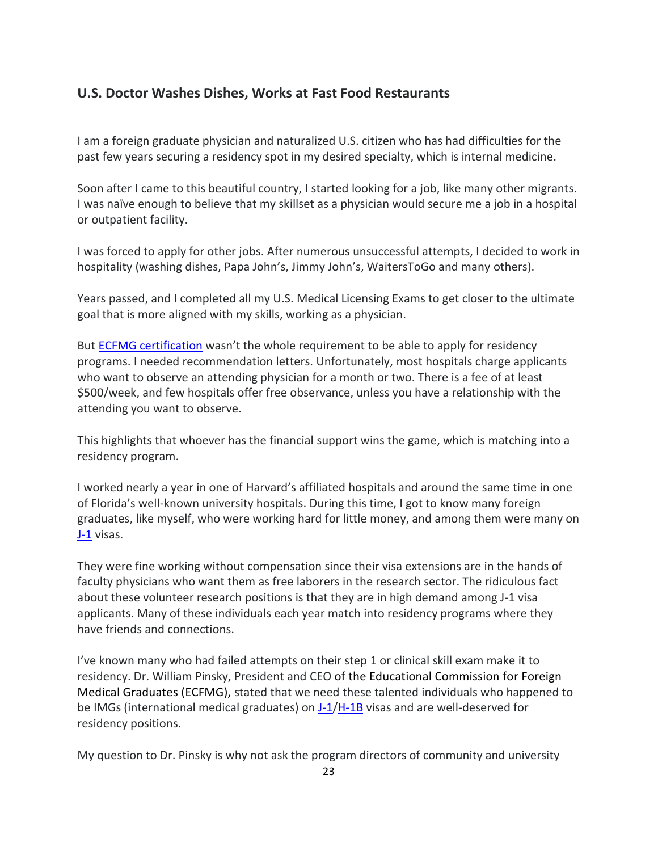## **U.S. Doctor Washes Dishes, Works at Fast Food Restaurants**

I am a foreign graduate physician and naturalized U.S. citizen who has had difficulties for the past few years securing a residency spot in my desired specialty, which is internal medicine.

Soon after I came to this beautiful country, I started looking for a job, like many other migrants. I was naïve enough to believe that my skillset as a physician would secure me a job in a hospital or outpatient facility.

I was forced to apply for other jobs. After numerous unsuccessful attempts, I decided to work in hospitality (washing dishes, Papa John's, Jimmy John's, WaitersToGo and many others).

Years passed, and I completed all my U.S. Medical Licensing Exams to get closer to the ultimate goal that is more aligned with my skills, working as a physician.

But [ECFMG certification](https://www.ecfmg.org/certification/) wasn't the whole requirement to be able to apply for residency programs. I needed recommendation letters. Unfortunately, most hospitals charge applicants who want to observe an attending physician for a month or two. There is a fee of at least \$500/week, and few hospitals offer free observance, unless you have a relationship with the attending you want to observe.

This highlights that whoever has the financial support wins the game, which is matching into a residency program.

I worked nearly a year in one of Harvard's affiliated hospitals and around the same time in one of Florida's well-known university hospitals. During this time, I got to know many foreign graduates, like myself, who were working hard for little money, and among them were many on [J-1](https://ustechworkers.com/j1visa/) visas.

They were fine working without compensation since their visa extensions are in the hands of faculty physicians who want them as free laborers in the research sector. The ridiculous fact about these volunteer research positions is that they are in high demand among J-1 visa applicants. Many of these individuals each year match into residency programs where they have friends and connections.

I've known many who had failed attempts on their step 1 or clinical skill exam make it to residency. Dr. William Pinsky, President and CEO of the Educational Commission for Foreign Medical Graduates (ECFMG), stated that we need these talented individuals who happened to be IMGs (international medical graduates) on [J-1](https://ustechworkers.com/j1visa/)[/H-1B](https://ustechworkers.com/h1-b-visa/) visas and are well-deserved for residency positions.

My question to Dr. Pinsky is why not ask the program directors of community and university